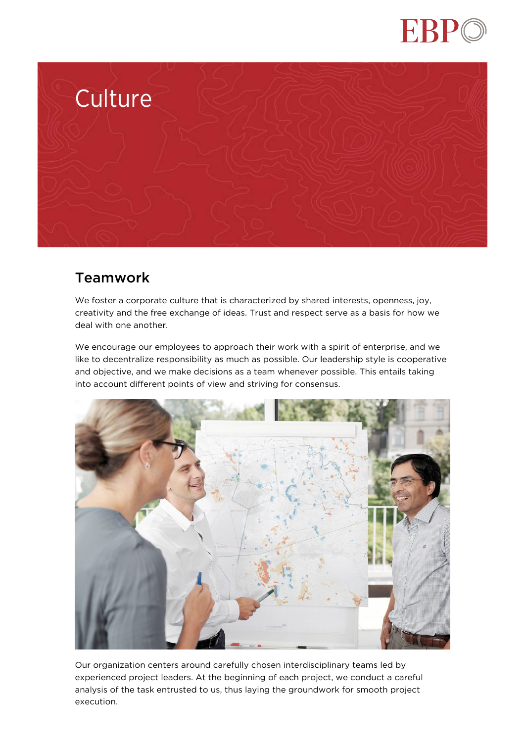



## Teamwork

We foster a corporate culture that is characterized by shared interests, openness, joy, creativity and the free exchange of ideas. Trust and respect serve as a basis for how we deal with one another.

We encourage our employees to approach their work with a spirit of enterprise, and we like to decentralize responsibility as much as possible. Our leadership style is cooperative and objective, and we make decisions as a team whenever possible. This entails taking into account different points of view and striving for consensus.



Our organization centers around carefully chosen interdisciplinary teams led by experienced project leaders. At the beginning of each project, we conduct a careful analysis of the task entrusted to us, thus laying the groundwork for smooth project execution.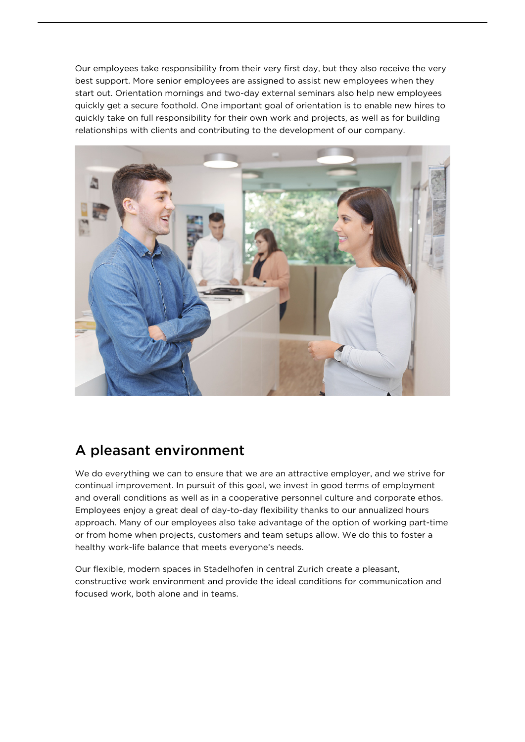Our employees take responsibility from their very first day, but they also receive the very best support. More senior employees are assigned to assist new employees when they start out. Orientation mornings and two-day external seminars also help new employees quickly get a secure foothold. One important goal of orientation is to enable new hires to quickly take on full responsibility for their own work and projects, as well as for building relationships with clients and contributing to the development of our company.



## A pleasant environment

We do everything we can to ensure that we are an attractive employer, and we strive for continual improvement. In pursuit of this goal, we invest in good terms of employment and overall conditions as well as in a cooperative personnel culture and corporate ethos. Employees enjoy a great deal of day-to-day flexibility thanks to our annualized hours approach. Many of our employees also take advantage of the option of working part-time or from home when projects, customers and team setups allow. We do this to foster a healthy work-life balance that meets everyone's needs.

Our flexible, modern spaces in Stadelhofen in central Zurich create a pleasant, constructive work environment and provide the ideal conditions for communication and focused work, both alone and in teams.